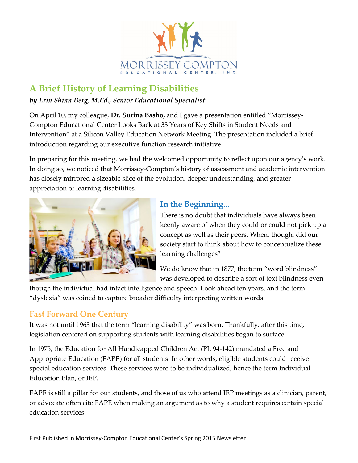

# **A Brief History of Learning Disabilities**

#### *by Erin Shinn Berg, M.Ed., Senior Educational Specialist*

On April 10, my colleague, **Dr. Surina Basho,** and I gave a presentation entitled "Morrissey-Compton Educational Center Looks Back at 33 Years of Key Shifts in Student Needs and Intervention" at a Silicon Valley Education Network Meeting. The presentation included a brief introduction regarding our executive function research initiative.

In preparing for this meeting, we had the welcomed opportunity to reflect upon our agency's work. In doing so, we noticed that Morrissey-Compton's history of assessment and academic intervention has closely mirrored a sizeable slice of the evolution, deeper understanding, and greater appreciation of learning disabilities.



## **In the Beginning...**

There is no doubt that individuals have always been keenly aware of when they could or could not pick up a concept as well as their peers. When, though, did our society start to think about how to conceptualize these learning challenges?

We do know that in 1877, the term "word blindness" was developed to describe a sort of text blindness even

though the individual had intact intelligence and speech. Look ahead ten years, and the term "dyslexia" was coined to capture broader difficulty interpreting written words.

## **Fast Forward One Century**

It was not until 1963 that the term "learning disability" was born. Thankfully, after this time, legislation centered on supporting students with learning disabilities began to surface.

In 1975, the Education for All Handicapped Children Act (PL 94-142) mandated a Free and Appropriate Education (FAPE) for all students. In other words, eligible students could receive special education services. These services were to be individualized, hence the term Individual Education Plan, or IEP.

FAPE is still a pillar for our students, and those of us who attend IEP meetings as a clinician, parent, or advocate often cite FAPE when making an argument as to why a student requires certain special education services.